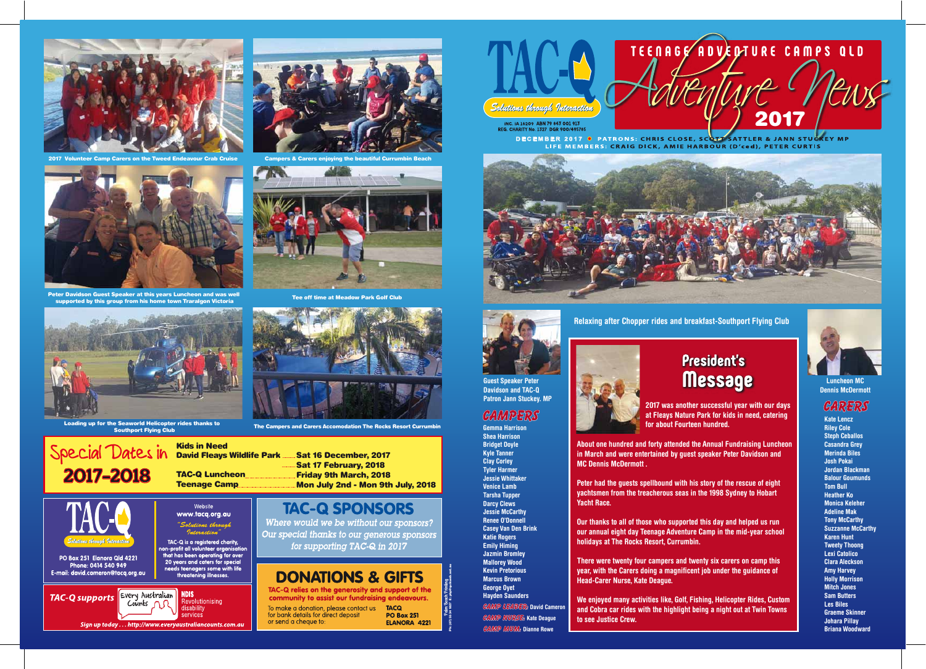

Peter Davidson Guest Speaker at this years Luncheon and was well supported by this group from his home town Traralgon Victoria



2017 Volunteer Camp Carers on the Tweed Endeavour Crab Cruise



INC. IA 16209 ABN 79 843 001 913<br>REG. CHARITY No. 1327 DGR 900/495785

**DECEMBER 2017 •** PATRONS: CHRIS CLOSE, SCOTT SATTLER & JANN STUCKEY MP<br>LIFE MEMBERS: CRAIG DICK, AMIE HARBOUR (D'ced), PETER CURTIS





**Gemma Harrison Shea Harrison Bridget Doyle Kyle Tanner Clay Corley Tyler Harmer Jessie Whittaker Venice Lamb Tarsha Tupper Darcy Clews Jessie McCarthy Renee O'Donnell Casey Van Den Brink Katie Rogers Emily Himing Jazmin Bromley Mallorey Wood Kevin Pretorious Marcus Brown George Oyet Hayden Saunders**

**Patron Jann Stuckey. MP** *Patron Jann Stuckey. MP* **<b>2017** was another successful year with our days **bath State Leaper CARERS**<br> **CAMPERS at Fleays Nature Park for kids in need, catering <b>CARERS for about Fourteen hundred.**

**Kate Lencz Riley Cole Steph Ceballos Casandra Grey Merinda Biles Josh Pokai Jordan Blackman Balour Goumunds Tom Bull Heather Ko Monica Keleher Adeline Mak Tony McCarthy Suzzanne McCarthy Karen Hunt Tweety Thoong Lexi Catolico Clara Aleckson Amy Harvey Holly Morrison Mitch Jones Sam Butters Les Biles Graeme Skinner Johara Pillay Briana Woodward**

**Luncheon MC Dennis McDermott**





**About one hundred and forty attended the Annual Fundraising Luncheon in March and were entertained by guest speaker Peter Davidson and MC Dennis McDermott .**

**Peter had the guests spellbound with his story of the rescue of eight yachtsmen from the treacherous seas in the 1998 Sydney to Hobart Yacht Race.**

**Our thanks to all of those who supported this day and helped us run our annual eight day Teenage Adventure Camp in the mid-year school holidays at The Rocks Resort, Currumbin.**

**There were twenty four campers and twenty six carers on camp this year, with the Carers doing a magnificent job under the guidance of Head-Carer Nurse, Kate Deague.**

**We enjoyed many activities like, Golf, Fishing, Helicopter Rides, Custom and Cobra car rides with the highlight being a night out at Twin Towns**



**to see Justice Crew.**

Where would we be without our sponsors? for supporting TAC-Q in 2017



**Relaxing after Chopper rides and breakfast-Southport Flying Club**

## **President's Message**

Sat 16 December, 2017 Sat 17 February, 2018 Friday 9th March, 2018 Mon July 2nd - Mon 9th July, 2018

## **TAC-Q SPONSORS**

Our special thanks to our generous sponsors

## **DONATIONS & GIFTS**

TAC-Q relies on the generosity and support of the community to assist our fundraising endeavours.

To make a donation, please contact us TACQ for bank details for direct deposit or send a cheque to:



### Kids in Need David Fleays Wildlife Park

2017-2018 TAC-Q Luncheon

Website www.tacq.org.au

"Solutions through Interaction

TAC-Q is a registered charity,<br>non-profit all volunteer organisation that has been operating for over

20 years and caters for special

needs teenagers some with life<br>threatening illnesses.

Revolutionising

**lisability** services

**NDIS** 



The Campers and Carers Accomodation The Rocks Resort Currumbin Loading up for the Seaworld Helicopter rides thanks to Southport Flying Club

.<br>Solutions through Interaction

PO Box 251 Elanora Qld 4221

Phone: 0414 540 949

E-mail: david.cameron@tacq.org.au

**TAC-Q supports** Every Australian

Counts

Sign up today ... http://www.everyaustraliancounts.com.au



Tee off time at Meadow Park Golf Club





Campers & Carers enjoying the beautiful Currumbin Beach

**Palm Beach Printing** Ph: (07) 5534 1027 E: pbp@quikweb.net.au



**Camp leader: David Cameron Camp Nurse: Kate Deague Camp Mum: Dianne Rowe**